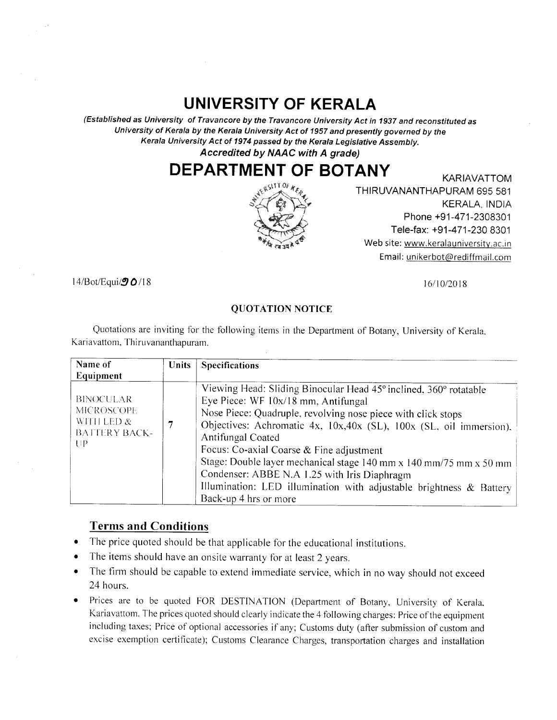## UNIVERSITY OF KERALA

(Established as University of Travancore by the Travancore llniversity Act in 1g3T and reconstituted as University of Kerala by the Kerala University Act of 1957 and presently governed by the Kerala University Act of 1974 passed by the Kerala Legislative Assembly. Accredited by NAAC with A grade)

## DEPARTMENT OF BOTANY KARIAVATTOM



THIRUVANANTHAPURAM 695 581 KERALA, INDIA Phone +91-471-2308301 Tele-fax: +91 -47 1-230 8301 Web site: www.keralauniversity.ac.in Email: unikerbot@rediffmail.com

 $14$ /Bot/Equi $\sqrt{9}$  O/18

 $16/10/2018$ 

## QUOTATION NOTICE

Quotations are inviting for the following items in the Department of Botany, University of Kerala. Kariavattom, Thiruvananthapuram.

| Name of<br>Equipment                                                              | <b>Units</b> | <b>Specifications</b>                                                                                                                                                                                                                                                                                                                                                                                                                                                                                                                 |
|-----------------------------------------------------------------------------------|--------------|---------------------------------------------------------------------------------------------------------------------------------------------------------------------------------------------------------------------------------------------------------------------------------------------------------------------------------------------------------------------------------------------------------------------------------------------------------------------------------------------------------------------------------------|
| <b>BINOCULAR</b><br><b>MICROSCOPE</b><br>WITH LED &<br><b>BATTERY BACK-</b><br>UP | 7            | Viewing Head: Sliding Binocular Head 45° inclined, 360° rotatable<br>Eye Piece: WF 10x/18 mm, Antifungal<br>Nose Piece: Quadruple, revolving nose piece with click stops<br>Objectives: Achromatic 4x, 10x,40x (SL), 100x (SL, oil immersion),<br>Antifungal Coated<br>Focus: Co-axial Coarse & Fine adjustment<br>Stage: Double layer mechanical stage 140 mm x 140 mm/75 mm x 50 mm<br>Condenser: ABBE N.A 1.25 with Iris Diaphragm<br>Illumination: LED illumination with adjustable brightness & Battery<br>Back-up 4 hrs or more |

## Terms and Conditions

- a The price quoted should be that applicable for the educational institutions.
- a The items should have an onsite warranty for at least 2 years.
- a The firm should be capable to extend immediate service, which in no way should not exceed 24 hours.
- Prices are to be quoted FOR DESTINATION (Department of Botany, University of Kerala. Kariavattom. The prices quoted should clearly indicate the 4 following charges: Price of the equipment including taxes; Price of optional accessories if any; Customs duty (after submission of custom and excise exemption certificate); Customs Clearance Charges, transpoftation charges and installation